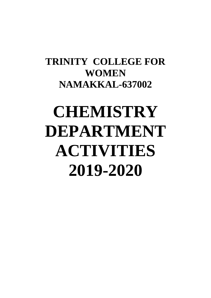## **TRINITY COLLEGE FOR WOMEN NAMAKKAL-637002**

## **CHEMISTRY DEPARTMENT ACTIVITIES 2019-2020**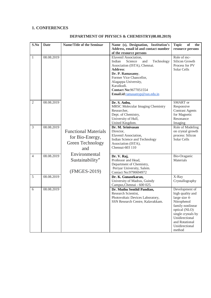## **1. CONFERENCES**

| S.No           | <b>Date</b> | <b>Name/Title of the Seminar</b>                                          | Name (s), Designation, Institution's<br>Address, email id and contact number                                                                                                                                                                                             | of<br><b>Topic</b><br>the<br>resource persons                                                                                                                                                 |
|----------------|-------------|---------------------------------------------------------------------------|--------------------------------------------------------------------------------------------------------------------------------------------------------------------------------------------------------------------------------------------------------------------------|-----------------------------------------------------------------------------------------------------------------------------------------------------------------------------------------------|
|                |             |                                                                           | of the resource persons                                                                                                                                                                                                                                                  |                                                                                                                                                                                               |
| $\mathbf{1}$   | 08.08.2019  |                                                                           | Elavenil Association,<br>Indian<br>Science<br>and<br>Technology<br>Association (ISTA), Chennai.<br><b>Address:</b><br>Dr. P. Ramasamy,<br>Former Vice Chancellor,<br>Alagappa University,<br>Karaikudi.<br><b>Contact No:9677051554</b><br>Email.id:ramasamyp@ssn.edu.in | Role of mc-<br>Silicon Growth<br>Process for PV<br>Solar Cells                                                                                                                                |
| 2              | 08.08.2019  |                                                                           | Dr. S. Anbu,<br><b>MRSC</b> Molecular Imaging Chemistry<br>Researcher,<br>Dept. of Chemistry,<br>University of Hull,<br>United Kingdom.                                                                                                                                  | SMART or<br>Responsive<br><b>Contrast Agents</b><br>for Magnetic<br>Resonance<br>Imaging                                                                                                      |
| 3              | 08.08.2019  | <b>Functional Materials</b><br>for Bio-Energy,<br>Green Technology<br>and | Dr. M. Srinivasan<br>Director,<br>Elavenil Association,<br>Indian Science and Technology<br>Association (ISTA),<br>Chennai-603 110                                                                                                                                       | Role of Modeling<br>on crystal growth<br>process: Silicon<br>Solar Cells                                                                                                                      |
| $\overline{4}$ | 08.08.2019  | Environmental<br>Sustainability"<br>(FMGES-2019)                          | Dr. V. Raj,<br>Professor and Head,<br>Department of Chemistry,<br>Periyar University, Salem.<br>Contact No:9790694972                                                                                                                                                    | Bio-Oraganic<br>Materials                                                                                                                                                                     |
| 5              | 08.08.2019  |                                                                           | Dr. K. Gunasekaran,<br>University of Madras, Guindy<br>Campus, Chennai - 600 025.                                                                                                                                                                                        | X-Ray<br>Crystallography                                                                                                                                                                      |
| 6              | 08.08.2019  |                                                                           | Dr. Muthu Senthil Pandian,<br>Research Scientist,<br>Photovoltaic Devices Laboratory,<br>SSN Research Centre, Kalavakkam.                                                                                                                                                | Development of<br>high quality and<br>large size 4-<br>Nitrophenol<br>family nonlinear<br>optical (NLO)<br>single crystals by<br>Unidirectional<br>and Rotational<br>Unidirectional<br>method |

## **DEPARTMENT OF PHYSICS & CHEMISTRY(08.08.2019)**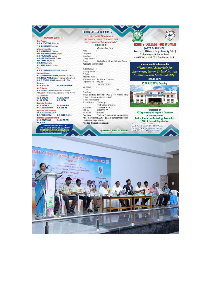|                                                                                                                                                                                                                                                                                    |                                                                                   | <b>TRINITY COLLEGE FOR WOMEN</b>         |                                                                                                                   |                                                                                                                                                    |                                                                         |
|------------------------------------------------------------------------------------------------------------------------------------------------------------------------------------------------------------------------------------------------------------------------------------|-----------------------------------------------------------------------------------|------------------------------------------|-------------------------------------------------------------------------------------------------------------------|----------------------------------------------------------------------------------------------------------------------------------------------------|-------------------------------------------------------------------------|
| <b>ORGANIZING COMMITTEE</b>                                                                                                                                                                                                                                                        |                                                                                   |                                          | "Functional Materials for<br>Bio-energy, Green Technology and                                                     |                                                                                                                                                    |                                                                         |
| <b>Chief Patrons</b>                                                                                                                                                                                                                                                               |                                                                                   |                                          | Environmental Sustainability"                                                                                     |                                                                                                                                                    |                                                                         |
| Mr. P. K. SENGODAN, Chairman                                                                                                                                                                                                                                                       |                                                                                   |                                          | (FMGES-2019)                                                                                                      | <b>TRINITY COLLEGE FOR WOMEN</b>                                                                                                                   |                                                                         |
| Er. K. NALLUSAMY, Secretary<br><b>Advisory Committee</b>                                                                                                                                                                                                                           |                                                                                   |                                          | <b>Registration Form</b>                                                                                          |                                                                                                                                                    | (ARTS & SCIENCE)                                                        |
| Dr. R. KULANDAIVEL, Trustee                                                                                                                                                                                                                                                        |                                                                                   | Name                                     |                                                                                                                   | (Permonently Affiliated to Periyar University, Salem)                                                                                              |                                                                         |
| Mr. D. CHANDRASEKARAN, Trustee<br>Mr. P. PALANISAMY, Trustee                                                                                                                                                                                                                       |                                                                                   | Designation<br>Department                |                                                                                                                   |                                                                                                                                                    | Trinity Nagar, Mohanur Road,                                            |
| Mr. RAMA SRINIVAASAN, Trustee                                                                                                                                                                                                                                                      |                                                                                   | College Address                          |                                                                                                                   | NAMAKKAL - 637 002, Tamilnadu, India.                                                                                                              |                                                                         |
| Mr. P. DHAYALAN, Trustee                                                                                                                                                                                                                                                           |                                                                                   | Category                                 | Student/Faculty/Research/Scholar /Others                                                                          |                                                                                                                                                    |                                                                         |
| Mr. S. GOPAL, Trustee<br>Mr. J. ARUN KUMAR, Trustee                                                                                                                                                                                                                                |                                                                                   | Address for Communication:               |                                                                                                                   |                                                                                                                                                    | <b>International Conference On</b>                                      |
| Patron                                                                                                                                                                                                                                                                             |                                                                                   | Mobile Number                            |                                                                                                                   |                                                                                                                                                    | "Functional Materials for                                               |
| Dr. M.R. LAKSHIMINARAYANAN, Principal                                                                                                                                                                                                                                              |                                                                                   | Whatsap Number                           |                                                                                                                   | Bio-energy, Green Technology and                                                                                                                   |                                                                         |
| <b>Technical Advisers</b>                                                                                                                                                                                                                                                          | Dr. ARASU PARAMESWARAN, Director - Academic                                       | E-Mail Id                                |                                                                                                                   | Environmental Sustainability"                                                                                                                      |                                                                         |
|                                                                                                                                                                                                                                                                                    | Mr. K. MANOHARAN, Director - Training & Placement                                 | Title of the Paper<br>Whether you are    | : Participating/Presenting                                                                                        |                                                                                                                                                    | (FMGES-2019)                                                            |
|                                                                                                                                                                                                                                                                                    | Mr. N.S. SENTHIL KUMAR, Administrative Officer                                    | Registration Fee                         | : DD/Cash                                                                                                         |                                                                                                                                                    |                                                                         |
| <b>Conveners</b><br><b>Mrs. P. SUMATHI</b>                                                                                                                                                                                                                                         | Mrs. N.THANGAMANI                                                                 |                                          | PAYMENT DETAILS                                                                                                   |                                                                                                                                                    | 8 <sup>th</sup> AUGUST 2019, Thursday                                   |
| Co - Ordinator                                                                                                                                                                                                                                                                     |                                                                                   | <b>DD Amount</b>                         |                                                                                                                   |                                                                                                                                                    |                                                                         |
| Dr. M. SRINIVASAN Director, Elavenil Association,                                                                                                                                                                                                                                  | Indian Science & Technology Association (ISTA), Chennai.                          | DD No.<br><b>Bank Name</b>               | Date:                                                                                                             |                                                                                                                                                    |                                                                         |
| Co - Conveners                                                                                                                                                                                                                                                                     |                                                                                   |                                          | The DD should be drawn in the favour of "The Principal, Trinity                                                   |                                                                                                                                                    |                                                                         |
| <b>Ms. R. BAIRAVI</b>                                                                                                                                                                                                                                                              | Mrs. B. KAVITHA                                                                   |                                          | College for Women, payable at Namakkal".                                                                          |                                                                                                                                                    |                                                                         |
| Mrs. M. CHITRA                                                                                                                                                                                                                                                                     | <b>Dr. P. CHITRA</b>                                                              | In case of fund transfer<br>Account Name | : The Principal.                                                                                                  |                                                                                                                                                    |                                                                         |
| <b>Organizing Secretary</b><br>Mrs. K. MEHALA                                                                                                                                                                                                                                      | Mrs. B. LAKSHMI                                                                   |                                          | Trinity College for Women.                                                                                        |                                                                                                                                                    |                                                                         |
| <b>Mrs. V. INDIRAKUMARI</b>                                                                                                                                                                                                                                                        | Dr. N. SANTHI                                                                     | Account No.                              | : 1177115000005030                                                                                                |                                                                                                                                                    |                                                                         |
| <b>Organizing Joint Secretary</b>                                                                                                                                                                                                                                                  |                                                                                   | <b>IFSC No.</b><br>MICR Code             | : KVBL0001177<br>:636053011                                                                                       |                                                                                                                                                    | <b>Organized by</b><br><b>PG Departments of Physics &amp; Chemistry</b> |
|                                                                                                                                                                                                                                                                                    |                                                                                   |                                          |                                                                                                                   |                                                                                                                                                    | In Association with                                                     |
|                                                                                                                                                                                                                                                                                    | Dr. D. SAKTHILATHA                                                                | <b>Bank Name</b>                         |                                                                                                                   |                                                                                                                                                    |                                                                         |
|                                                                                                                                                                                                                                                                                    |                                                                                   |                                          | : The Karur Vysya Bank Ltd., Namakkal West<br>Note : Registration Kit, Lunch, Tea, Snacks and certificate will be |                                                                                                                                                    |                                                                         |
| <b>Mrs. R. SAKUNTHALADEVI</b><br>Dr. R. POONGUZHALI<br><b>Organizing Sub Staff Members</b><br><b>Mrs. P. GOWTHAMI</b><br>Ms. S. DEVI<br>TRINITY ACADEMY MATRIC. HR. SEC. SCHOOL<br><b>TRINITY INTERNATIONAL SCHOOL (CBSE)</b><br>Trinity Negar, Mohanur Road, Namsklial - 637 002. | <b>Mrs. G. MAHESH</b><br><b>OUR OTHER EDUCATIONAL INSTITUTIONS</b>                | provided to all the participants.        | Note: Spot Registration is accepted.<br>Signature of the Head of the Institution                                  | Phone No.: 04286-266669<br>Mobile No: 9786201735, 9842742257<br>www.trinitycollegenki.edu.in<br>Website :<br>trinityphysicsnkl@gmail.com<br>E-Mail | (ISTA) & Elavenil Organization                                          |
|                                                                                                                                                                                                                                                                                    |                                                                                   |                                          |                                                                                                                   |                                                                                                                                                    |                                                                         |
|                                                                                                                                                                                                                                                                                    |                                                                                   |                                          |                                                                                                                   |                                                                                                                                                    |                                                                         |
|                                                                                                                                                                                                                                                                                    |                                                                                   |                                          |                                                                                                                   |                                                                                                                                                    |                                                                         |
|                                                                                                                                                                                                                                                                                    |                                                                                   |                                          |                                                                                                                   |                                                                                                                                                    |                                                                         |
|                                                                                                                                                                                                                                                                                    |                                                                                   |                                          |                                                                                                                   |                                                                                                                                                    |                                                                         |
|                                                                                                                                                                                                                                                                                    |                                                                                   |                                          |                                                                                                                   |                                                                                                                                                    |                                                                         |
|                                                                                                                                                                                                                                                                                    |                                                                                   |                                          |                                                                                                                   |                                                                                                                                                    |                                                                         |
|                                                                                                                                                                                                                                                                                    | INITY COLLEGE FOR WOMEN (ARTS & SCIENCE) <b>O</b><br>International Conference On. |                                          |                                                                                                                   |                                                                                                                                                    |                                                                         |
|                                                                                                                                                                                                                                                                                    | "Functional Materials for Bio-Energy,                                             |                                          |                                                                                                                   |                                                                                                                                                    |                                                                         |
|                                                                                                                                                                                                                                                                                    | cen Technology and Environmental Sustainability"                                  |                                          |                                                                                                                   |                                                                                                                                                    |                                                                         |
|                                                                                                                                                                                                                                                                                    | FMGES - 8th August 2019.                                                          |                                          |                                                                                                                   |                                                                                                                                                    |                                                                         |
|                                                                                                                                                                                                                                                                                    | Organized by<br><b>leparti</b>                                                    | & Chemistry                              | Dedicative Delegatory                                                                                             |                                                                                                                                                    |                                                                         |
|                                                                                                                                                                                                                                                                                    |                                                                                   |                                          |                                                                                                                   |                                                                                                                                                    |                                                                         |
|                                                                                                                                                                                                                                                                                    |                                                                                   |                                          |                                                                                                                   |                                                                                                                                                    |                                                                         |
|                                                                                                                                                                                                                                                                                    |                                                                                   |                                          |                                                                                                                   |                                                                                                                                                    |                                                                         |
|                                                                                                                                                                                                                                                                                    |                                                                                   |                                          |                                                                                                                   |                                                                                                                                                    |                                                                         |
|                                                                                                                                                                                                                                                                                    |                                                                                   |                                          |                                                                                                                   |                                                                                                                                                    |                                                                         |
|                                                                                                                                                                                                                                                                                    |                                                                                   |                                          |                                                                                                                   |                                                                                                                                                    |                                                                         |
|                                                                                                                                                                                                                                                                                    |                                                                                   |                                          |                                                                                                                   |                                                                                                                                                    |                                                                         |
|                                                                                                                                                                                                                                                                                    |                                                                                   |                                          |                                                                                                                   |                                                                                                                                                    |                                                                         |
|                                                                                                                                                                                                                                                                                    |                                                                                   |                                          |                                                                                                                   |                                                                                                                                                    |                                                                         |
|                                                                                                                                                                                                                                                                                    |                                                                                   |                                          |                                                                                                                   |                                                                                                                                                    |                                                                         |
|                                                                                                                                                                                                                                                                                    |                                                                                   |                                          |                                                                                                                   |                                                                                                                                                    | <b>Indian Science and Technology Association</b>                        |
|                                                                                                                                                                                                                                                                                    |                                                                                   |                                          |                                                                                                                   |                                                                                                                                                    |                                                                         |
|                                                                                                                                                                                                                                                                                    |                                                                                   |                                          |                                                                                                                   |                                                                                                                                                    |                                                                         |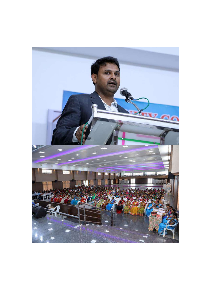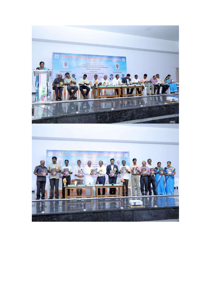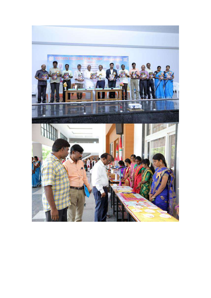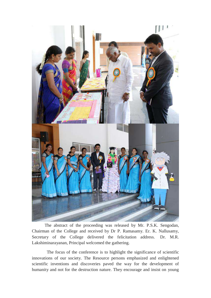

The abstract of the proceeding was released by Mr. P.S.K. Sengodan, Chairman of the College and received by Dr P. Ramasamy. Er. K. Nallusamy, Secretary of the College delivered the felicitation address. Dr. M.R. Lakshiminarayanan, Principal welcomed the gathering.

The focus of the conference is to highlight the significance of scientific innovations of our society. The Resource persons emphasized and enlightened scientific inventions and discoveries paved the way for the development of humanity and not for the destruction nature. They encourage and insist on young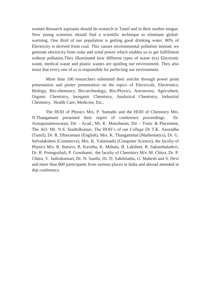women Research aspirants should do research in Tamil and in their mother tongue. New young scientists should find a scientific technique to eliminate globalwarming. One third of our population is getting good drinking water. 80% of Electricity is derived from coal. This causes environmental pollution instead, we generate electricity from solar and wind power which enables us to get fulfillment without pollution. They illuminated how different types of waste (ex) Electronic waste, medical waste and plastic wastes are spoiling our environment. They also insist that every one of us is responsible for perfecting our environment.

More than 100 researchers submitted their articles through power point presentation and poster presentation on the topics of Electricals, Electronics, Biology, Bio-chemistry, Bio-technology, Bio-Physics, Astronomy, Agriculture, Organic Chemistry, Inorganic Chemistry, Analytical Chemistry, Industrial Chemistry, Health Care, Medicine, Etc.,

The HOD of Physics Mrs. P. Sumathi and the HOD of Chemistry Mrs. N.Thangamani presented their report of conference proceedings. Dr. Arasuparameswaran, Dir – Acad., Mr. K. Manoharan, Dir – Train. & Placement, The AO- Mr. N.S. Senthilkumar, The HOD's of our College Dr T.K. Anuradha (Tamil), Dr. R. Dhavamani (English), Mrs. K. Thangammal (Mathematics), Dr. G. Selvalakshmi (Commerce), Mrs. K. Valarmathi (Computer Science), the faculty of Physics M/s. R. Bairavi, B. Kavitha, K. Mehala, B. Lakshmi, R. Sakunthaladevi, Dr. R. Poonguzhali, P. Gowthami, the faculty of Chemistry M/s. M. Chitra, Dr. P. Chitra, V. Indirakumari, Dr. N. Santhi, Dr. D. Sakthilatha, G. Mahesh and S. Devi and more than 800 participants from various places in India and abroad attended in that conference.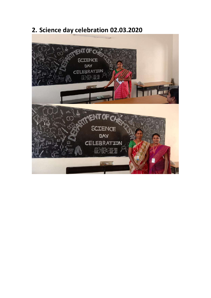

**2. Science day celebration 02.03.2020**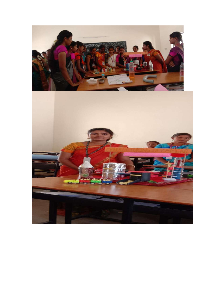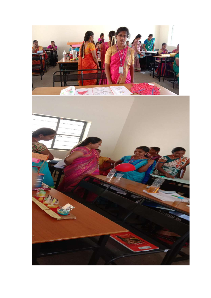